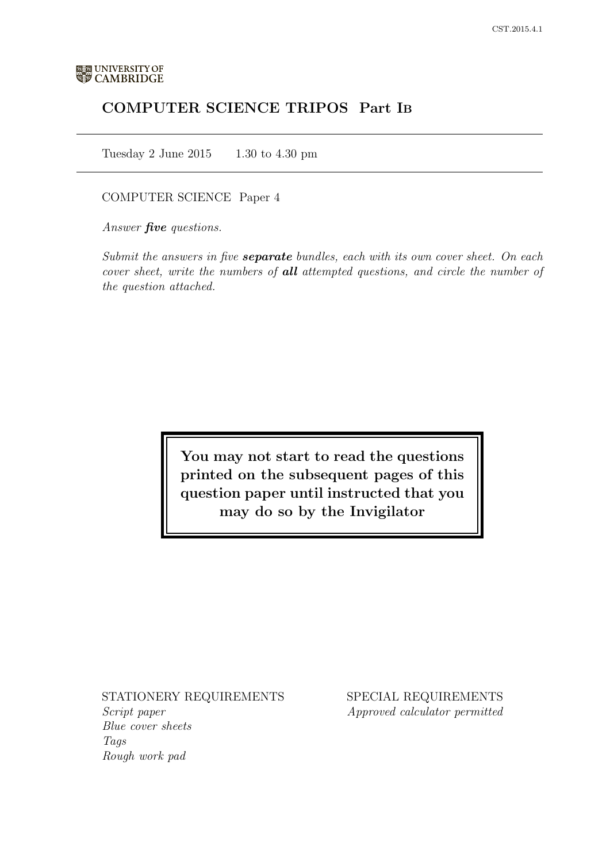# COMPUTER SCIENCE TRIPOS Part IB

Tuesday 2 June 2015 1.30 to 4.30 pm

## COMPUTER SCIENCE Paper 4

Answer **five** questions.

Submit the answers in five **separate** bundles, each with its own cover sheet. On each cover sheet, write the numbers of **all** attempted questions, and circle the number of the question attached.

> You may not start to read the questions printed on the subsequent pages of this question paper until instructed that you may do so by the Invigilator

## STATIONERY REQUIREMENTS

Script paper Blue cover sheets Tags Rough work pad

SPECIAL REQUIREMENTS Approved calculator permitted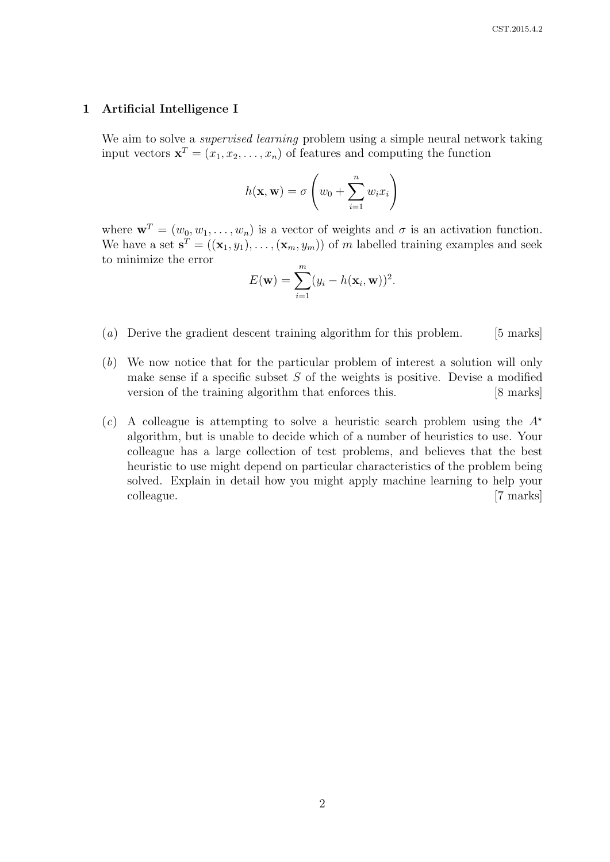#### 1 Artificial Intelligence I

We aim to solve a *supervised learning* problem using a simple neural network taking input vectors  $\mathbf{x}^T = (x_1, x_2, \dots, x_n)$  of features and computing the function

$$
h(\mathbf{x}, \mathbf{w}) = \sigma \left(w_0 + \sum_{i=1}^n w_i x_i\right)
$$

where  $\mathbf{w}^T = (w_0, w_1, \dots, w_n)$  is a vector of weights and  $\sigma$  is an activation function. We have a set  $\mathbf{s}^T = ((\mathbf{x}_1, y_1), \dots, (\mathbf{x}_m, y_m))$  of m labelled training examples and seek to minimize the error

$$
E(\mathbf{w}) = \sum_{i=1}^{m} (y_i - h(\mathbf{x}_i, \mathbf{w}))^2.
$$

- (a) Derive the gradient descent training algorithm for this problem. [5 marks]
- (b) We now notice that for the particular problem of interest a solution will only make sense if a specific subset  $S$  of the weights is positive. Devise a modified version of the training algorithm that enforces this. [8 marks]
- (c) A colleague is attempting to solve a heuristic search problem using the  $A^*$ algorithm, but is unable to decide which of a number of heuristics to use. Your colleague has a large collection of test problems, and believes that the best heuristic to use might depend on particular characteristics of the problem being solved. Explain in detail how you might apply machine learning to help your colleague. [7 marks]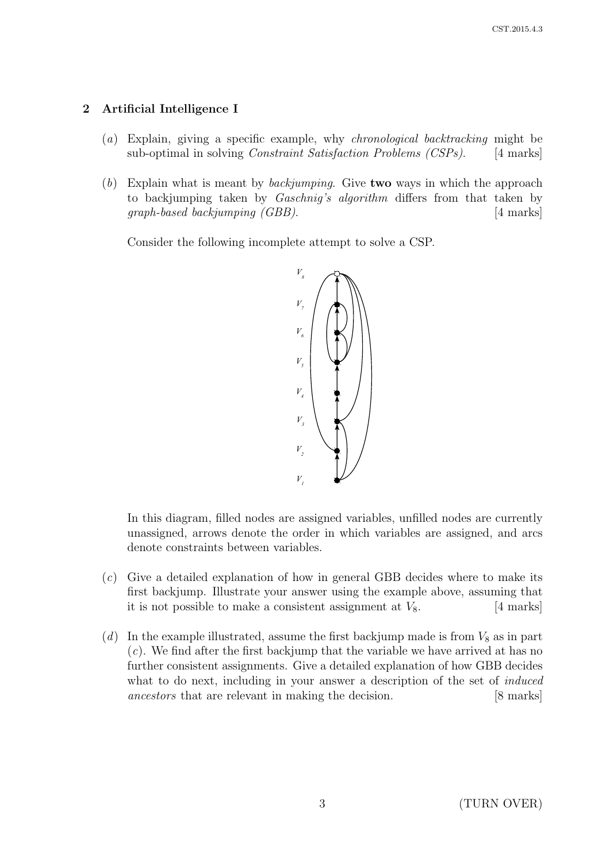# 2 Artificial Intelligence I

- (a) Explain, giving a specific example, why chronological backtracking might be sub-optimal in solving *Constraint Satisfaction Problems (CSPs)*. [4 marks]
- (b) Explain what is meant by *backjumping*. Give **two** ways in which the approach to backjumping taken by Gaschnig's algorithm differs from that taken by graph-based backjumping (GBB). [4 marks]

Consider the following incomplete attempt to solve a CSP.



In this diagram, filled nodes are assigned variables, unfilled nodes are currently unassigned, arrows denote the order in which variables are assigned, and arcs denote constraints between variables.

- (c) Give a detailed explanation of how in general GBB decides where to make its first backjump. Illustrate your answer using the example above, assuming that it is not possible to make a consistent assignment at  $V_8$ . [4 marks]
- (d) In the example illustrated, assume the first backjump made is from  $V_8$  as in part  $(c)$ . We find after the first backjump that the variable we have arrived at has no further consistent assignments. Give a detailed explanation of how GBB decides what to do next, including in your answer a description of the set of *induced* ancestors that are relevant in making the decision. [8 marks]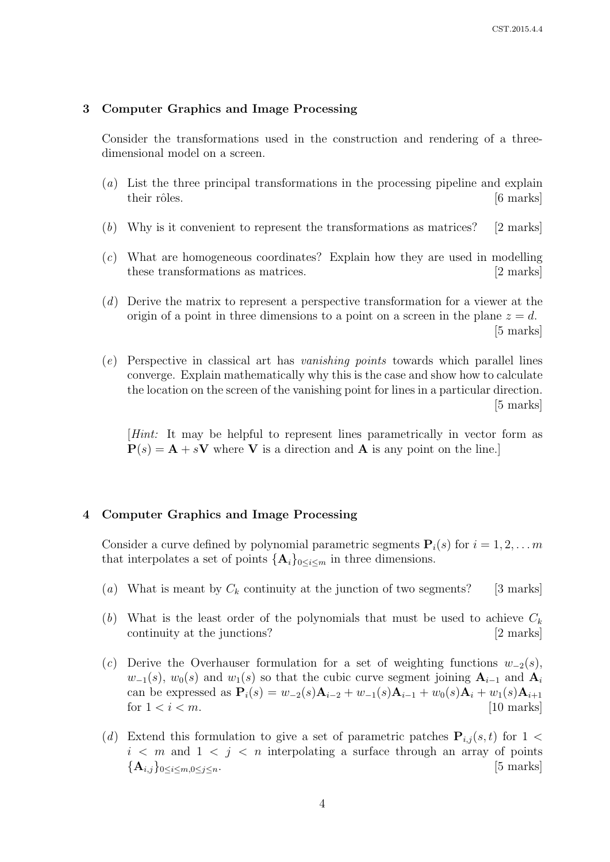#### 3 Computer Graphics and Image Processing

Consider the transformations used in the construction and rendering of a threedimensional model on a screen.

- (a) List the three principal transformations in the processing pipeline and explain their rôles. [6 marks]
- (b) Why is it convenient to represent the transformations as matrices? [2 marks]
- (c) What are homogeneous coordinates? Explain how they are used in modelling these transformations as matrices. [2 marks]
- (d) Derive the matrix to represent a perspective transformation for a viewer at the origin of a point in three dimensions to a point on a screen in the plane  $z = d$ . [5 marks]
- (e) Perspective in classical art has vanishing points towards which parallel lines converge. Explain mathematically why this is the case and show how to calculate the location on the screen of the vanishing point for lines in a particular direction. [5 marks]

[Hint: It may be helpful to represent lines parametrically in vector form as  $P(s) = A + sV$  where V is a direction and A is any point on the line.

#### 4 Computer Graphics and Image Processing

Consider a curve defined by polynomial parametric segments  $P_i(s)$  for  $i = 1, 2, \ldots, m$ that interpolates a set of points  $\{\mathbf A_i\}_{0\leq i\leq m}$  in three dimensions.

- (a) What is meant by  $C_k$  continuity at the junction of two segments? [3 marks]
- (b) What is the least order of the polynomials that must be used to achieve  $C_k$ continuity at the junctions? [2 marks]
- (c) Derive the Overhauser formulation for a set of weighting functions  $w_{-2}(s)$ ,  $w_{-1}(s)$ ,  $w_0(s)$  and  $w_1(s)$  so that the cubic curve segment joining  $A_{i-1}$  and  $A_i$ can be expressed as  $P_i(s) = w_{-2}(s)A_{i-2} + w_{-1}(s)A_{i-1} + w_0(s)A_i + w_1(s)A_{i+1}$ for  $1 < i < m$ . [10 marks]
- (d) Extend this formulation to give a set of parametric patches  $P_{i,j}(s,t)$  for  $1 \leq$  $i \leq m$  and  $1 \leq j \leq n$  interpolating a surface through an array of points  ${\mathbf A}_{i,j}\}_{0\leq i\leq m,0\leq j\leq n}$ . [5 marks]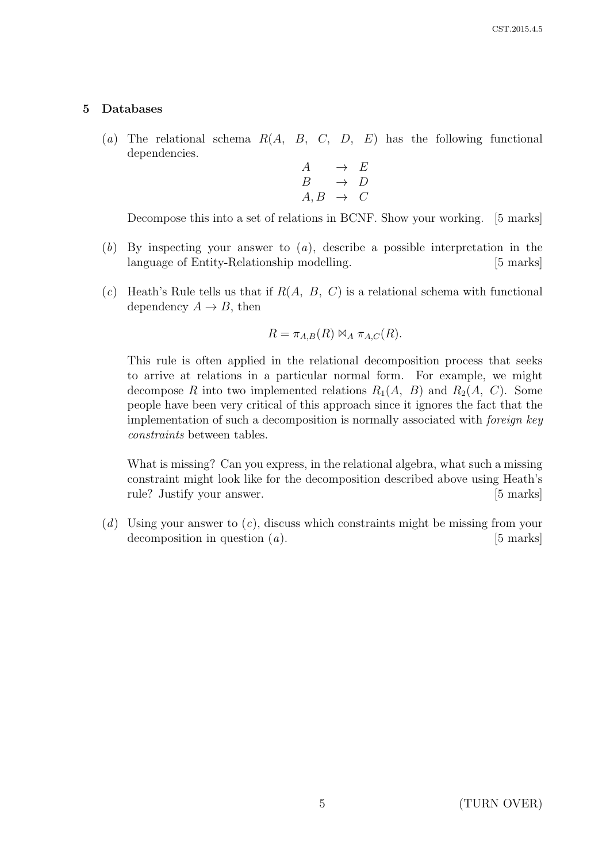## 5 Databases

(a) The relational schema  $R(A, B, C, D, E)$  has the following functional dependencies.

$$
\begin{array}{ccc}\nA & \rightarrow & E \\
B & \rightarrow & D \\
A, B & \rightarrow & C\n\end{array}
$$

Decompose this into a set of relations in BCNF. Show your working. [5 marks]

- (b) By inspecting your answer to (a), describe a possible interpretation in the language of Entity-Relationship modelling. [5 marks]
- (c) Heath's Rule tells us that if  $R(A, B, C)$  is a relational schema with functional dependency  $A \rightarrow B$ , then

$$
R = \pi_{A,B}(R) \bowtie_A \pi_{A,C}(R).
$$

This rule is often applied in the relational decomposition process that seeks to arrive at relations in a particular normal form. For example, we might decompose R into two implemented relations  $R_1(A, B)$  and  $R_2(A, C)$ . Some people have been very critical of this approach since it ignores the fact that the implementation of such a decomposition is normally associated with foreign key constraints between tables.

What is missing? Can you express, in the relational algebra, what such a missing constraint might look like for the decomposition described above using Heath's rule? Justify your answer. [5 marks]

 $(d)$  Using your answer to  $(c)$ , discuss which constraints might be missing from your decomposition in question  $(a)$ . [5 marks]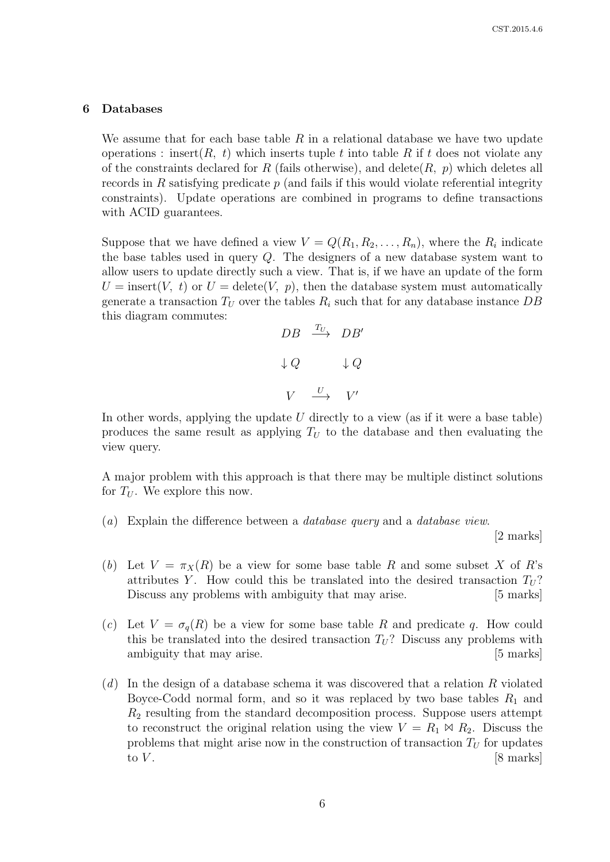#### 6 Databases

We assume that for each base table  $R$  in a relational database we have two update operations : insert $(R, t)$  which inserts tuple t into table R if t does not violate any of the constraints declared for R (fails otherwise), and delete(R, p) which deletes all records in R satisfying predicate  $p$  (and fails if this would violate referential integrity constraints). Update operations are combined in programs to define transactions with ACID guarantees.

Suppose that we have defined a view  $V = Q(R_1, R_2, \ldots, R_n)$ , where the  $R_i$  indicate the base tables used in query Q. The designers of a new database system want to allow users to update directly such a view. That is, if we have an update of the form  $U =$  insert(V, t) or  $U =$  delete(V, p), then the database system must automatically generate a transaction  $T_U$  over the tables  $R_i$  such that for any database instance DB this diagram commutes:



In other words, applying the update  $U$  directly to a view (as if it were a base table) produces the same result as applying  $T_U$  to the database and then evaluating the view query.

A major problem with this approach is that there may be multiple distinct solutions for  $T_U$ . We explore this now.

(a) Explain the difference between a database query and a database view.

[2 marks]

- (b) Let  $V = \pi_X(R)$  be a view for some base table R and some subset X of R's attributes Y. How could this be translated into the desired transaction  $T_U$ ? Discuss any problems with ambiguity that may arise. [5 marks]
- (c) Let  $V = \sigma_q(R)$  be a view for some base table R and predicate q. How could this be translated into the desired transaction  $T_U$ ? Discuss any problems with ambiguity that may arise. [5 marks]
- $(d)$  In the design of a database schema it was discovered that a relation R violated Boyce-Codd normal form, and so it was replaced by two base tables  $R_1$  and  $R<sub>2</sub>$  resulting from the standard decomposition process. Suppose users attempt to reconstruct the original relation using the view  $V = R_1 \bowtie R_2$ . Discuss the problems that might arise now in the construction of transaction  $T_U$  for updates to  $V$ .  $[8 \text{ marks}]$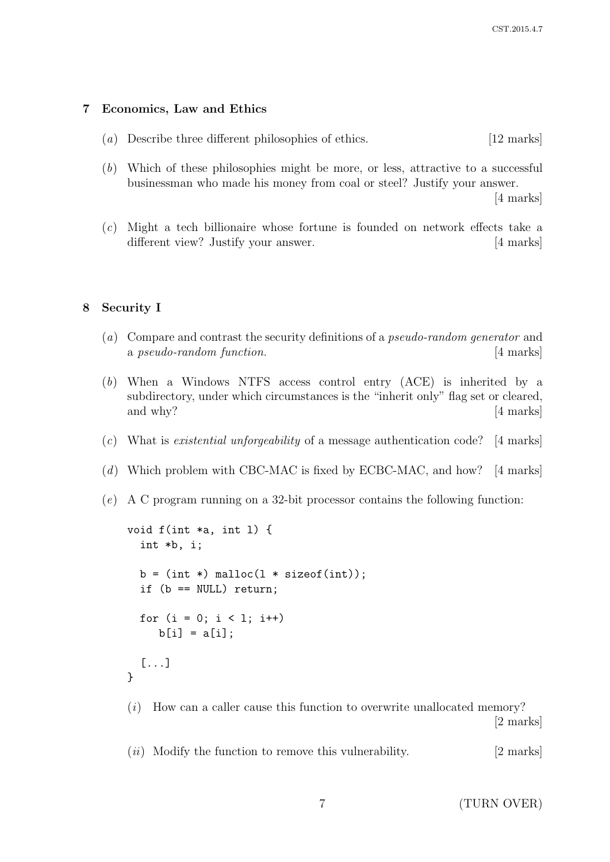## 7 Economics, Law and Ethics

- (a) Describe three different philosophies of ethics. [12 marks]
- (b) Which of these philosophies might be more, or less, attractive to a successful businessman who made his money from coal or steel? Justify your answer.

[4 marks]

(c) Might a tech billionaire whose fortune is founded on network effects take a different view? Justify your answer. [4 marks]

## 8 Security I

- (a) Compare and contrast the security definitions of a pseudo-random generator and a pseudo-random function. [4 marks]
- (b) When a Windows NTFS access control entry (ACE) is inherited by a subdirectory, under which circumstances is the "inherit only" flag set or cleared, and why? [4 marks]
- (c) What is existential unforgeability of a message authentication code? [4 marks]
- (d) Which problem with CBC-MAC is fixed by ECBC-MAC, and how? [4 marks]
- (e) A C program running on a 32-bit processor contains the following function:

```
void f(int *a, int l) {
  int *b, i;
 b = (int * ) malloc(1 * size of(int));if (b == NULL) return;
 for (i = 0; i < 1; i++)b[i] = a[i];
  [...]
}
```
(i) How can a caller cause this function to overwrite unallocated memory? [2 marks]

 $(ii)$  Modify the function to remove this vulnerability. [2 marks]

7 (TURN OVER)